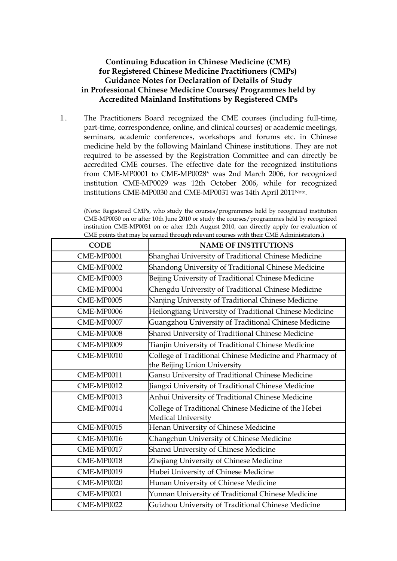## **Continuing Education in Chinese Medicine (CME) for Registered Chinese Medicine Practitioners (CMPs) Guidance Notes for Declaration of Details of Study in Professional Chinese Medicine Courses/ Programmes held by Accredited Mainland Institutions by Registered CMPs**

1. The Practitioners Board recognized the CME courses (including full-time, part-time, correspondence, online, and clinical courses) or academic meetings, seminars, academic conferences, workshops and forums etc. in Chinese medicine held by the following Mainland Chinese institutions. They are not required to be assessed by the Registration Committee and can directly be accredited CME courses. The effective date for the recognized institutions from CME-MP0001 to CME-MP0028\* was 2nd March 2006, for recognized institution CME-MP0029 was 12th October 2006, while for recognized institutions CME-MP0030 and CME-MP0031 was 14th April 2011Note .

(Note: Registered CMPs, who study the courses/programmes held by recognized institution CME-MP0030 on or after 10th June 2010 or study the courses/programmes held by recognized institution CME-MP0031 on or after 12th August 2010, can directly apply for evaluation of CME points that may be earned through relevant courses with their CME Administrators.)

| <b>CODE</b> | <b>NAME OF INSTITUTIONS</b>                                                       |
|-------------|-----------------------------------------------------------------------------------|
| CME-MP0001  | Shanghai University of Traditional Chinese Medicine                               |
| CME-MP0002  | Shandong University of Traditional Chinese Medicine                               |
| CME-MP0003  | Beijing University of Traditional Chinese Medicine                                |
| CME-MP0004  | Chengdu University of Traditional Chinese Medicine                                |
| CME-MP0005  | Nanjing University of Traditional Chinese Medicine                                |
| CME-MP0006  | Heilongjiang University of Traditional Chinese Medicine                           |
| CME-MP0007  | Guangzhou University of Traditional Chinese Medicine                              |
| CME-MP0008  | Shanxi University of Traditional Chinese Medicine                                 |
| CME-MP0009  | Tianjin University of Traditional Chinese Medicine                                |
| CME-MP0010  | College of Traditional Chinese Medicine and Pharmacy of                           |
|             | the Beijing Union University                                                      |
| CME-MP0011  | Gansu University of Traditional Chinese Medicine                                  |
| CME-MP0012  | Jiangxi University of Traditional Chinese Medicine                                |
| CME-MP0013  | Anhui University of Traditional Chinese Medicine                                  |
| CME-MP0014  | College of Traditional Chinese Medicine of the Hebei<br><b>Medical University</b> |
| CME-MP0015  | Henan University of Chinese Medicine                                              |
| CME-MP0016  | Changchun University of Chinese Medicine                                          |
| CME-MP0017  | Shanxi University of Chinese Medicine                                             |
| CME-MP0018  | Zhejiang University of Chinese Medicine                                           |
| CME-MP0019  | Hubei University of Chinese Medicine                                              |
| CME-MP0020  | Hunan University of Chinese Medicine                                              |
| CME-MP0021  | Yunnan University of Traditional Chinese Medicine                                 |
| CME-MP0022  | Guizhou University of Traditional Chinese Medicine                                |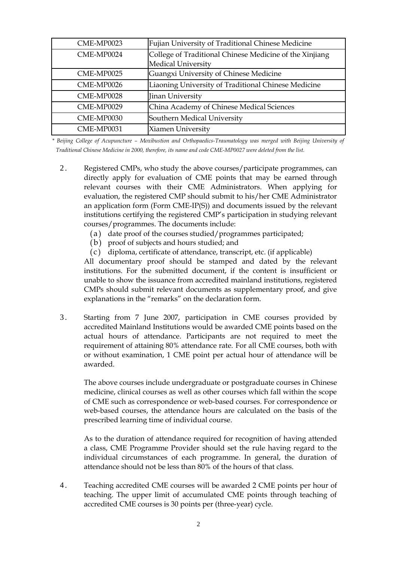| CME-MP0023 | Fujian University of Traditional Chinese Medicine                                    |
|------------|--------------------------------------------------------------------------------------|
| CME-MP0024 | College of Traditional Chinese Medicine of the Xinjiang<br><b>Medical University</b> |
| CME-MP0025 | Guangxi University of Chinese Medicine                                               |
| CME-MP0026 | Liaoning University of Traditional Chinese Medicine                                  |
| CME-MP0028 | Jinan University                                                                     |
| CME-MP0029 | China Academy of Chinese Medical Sciences                                            |
| CME-MP0030 | Southern Medical University                                                          |
| CME-MP0031 | Xiamen University                                                                    |

*\* Beijing College of Acupuncture – Moxibustion and Orthopaedics-Traumatology was merged with Beijing University of Traditional Chinese Medicine in 2000, therefore, its name and code CME-MP0027 were deleted from the list.*

- 2 . Registered CMPs, who study the above courses/participate programmes, can directly apply for evaluation of CME points that may be earned through relevant courses with their CME Administrators. When applying for evaluation, the registered CMP should submit to his/her CME Administrator an application form (Form CME-IP(S)) and documents issued by the relevant institutions certifying the registered CMP's participation in studying relevant courses/programmes. The documents include:
	- (a) date proof of the courses studied/programmes participated;
	- (b) proof of subjects and hours studied; and
	- ( c ) diploma, certificate of attendance, transcript, etc. (if applicable)

All documentary proof should be stamped and dated by the relevant institutions. For the submitted document, if the content is insufficient or unable to show the issuance from accredited mainland institutions, registered CMPs should submit relevant documents as supplementary proof, and give explanations in the "remarks" on the declaration form.

3 . Starting from 7 June 2007, participation in CME courses provided by accredited Mainland Institutions would be awarded CME points based on the actual hours of attendance. Participants are not required to meet the requirement of attaining 80% attendance rate. For all CME courses, both with or without examination, 1 CME point per actual hour of attendance will be awarded.

The above courses include undergraduate or postgraduate courses in Chinese medicine, clinical courses as well as other courses which fall within the scope of CME such as correspondence or web-based courses. For correspondence or web-based courses, the attendance hours are calculated on the basis of the prescribed learning time of individual course.

As to the duration of attendance required for recognition of having attended a class, CME Programme Provider should set the rule having regard to the individual circumstances of each programme. In general, the duration of attendance should not be less than 80% of the hours of that class.

4 . Teaching accredited CME courses will be awarded 2 CME points per hour of teaching. The upper limit of accumulated CME points through teaching of accredited CME courses is 30 points per (three-year) cycle.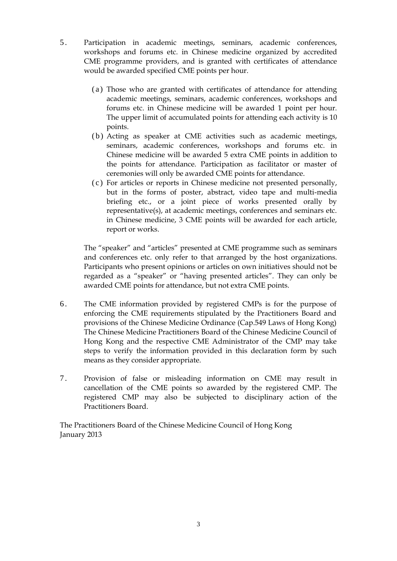- 5 . Participation in academic meetings, seminars, academic conferences, workshops and forums etc. in Chinese medicine organized by accredited CME programme providers, and is granted with certificates of attendance would be awarded specified CME points per hour.
	- ( a ) Those who are granted with certificates of attendance for attending academic meetings, seminars, academic conferences, workshops and forums etc. in Chinese medicine will be awarded 1 point per hour. The upper limit of accumulated points for attending each activity is 10 points.
	- ( b ) Acting as speaker at CME activities such as academic meetings, seminars, academic conferences, workshops and forums etc. in Chinese medicine will be awarded 5 extra CME points in addition to the points for attendance. Participation as facilitator or master of ceremonies will only be awarded CME points for attendance.
	- ( c ) For articles or reports in Chinese medicine not presented personally, but in the forms of poster, abstract, video tape and multi-media briefing etc., or a joint piece of works presented orally by representative(s), at academic meetings, conferences and seminars etc. in Chinese medicine, 3 CME points will be awarded for each article, report or works.

The "speaker" and "articles" presented at CME programme such as seminars and conferences etc. only refer to that arranged by the host organizations. Participants who present opinions or articles on own initiatives should not be regarded as a "speaker" or "having presented articles". They can only be awarded CME points for attendance, but not extra CME points.

- 6 . The CME information provided by registered CMPs is for the purpose of enforcing the CME requirements stipulated by the Practitioners Board and provisions of the Chinese Medicine Ordinance (Cap.549 Laws of Hong Kong) The Chinese Medicine Practitioners Board of the Chinese Medicine Council of Hong Kong and the respective CME Administrator of the CMP may take steps to verify the information provided in this declaration form by such means as they consider appropriate.
- 7 . Provision of false or misleading information on CME may result in cancellation of the CME points so awarded by the registered CMP. The registered CMP may also be subjected to disciplinary action of the Practitioners Board.

The Practitioners Board of the Chinese Medicine Council of Hong Kong January 2013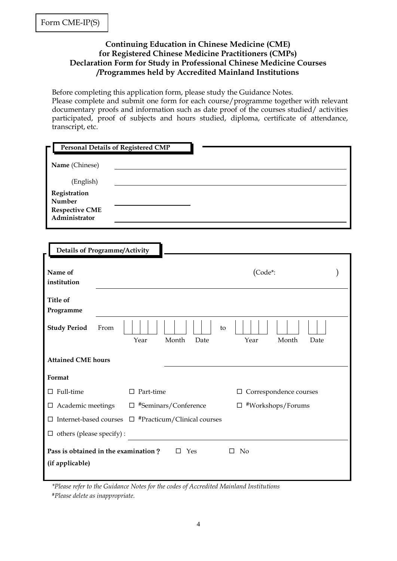F

## **Continuing Education in Chinese Medicine (CME) for Registered Chinese Medicine Practitioners (CMPs) Declaration Form for Study in Professional Chinese Medicine Courses /Programmes held by Accredited Mainland Institutions**

Before completing this application form, please study the Guidance Notes. Please complete and submit one form for each course/programme together with relevant documentary proofs and information such as date proof of the courses studied/ activities participated, proof of subjects and hours studied, diploma, certificate of attendance, transcript, etc.

| <b>Personal Details of Registered CMP</b>                                                |                             |                               |  |
|------------------------------------------------------------------------------------------|-----------------------------|-------------------------------|--|
|                                                                                          |                             |                               |  |
| Name (Chinese)                                                                           |                             |                               |  |
| (English)                                                                                |                             |                               |  |
| Registration<br>Number<br><b>Respective CME</b><br>Administrator                         |                             |                               |  |
| <b>Details of Programme/Activity</b>                                                     |                             |                               |  |
| Name of<br>institution                                                                   |                             | (Code*:                       |  |
| <b>Title of</b><br>Programme                                                             |                             |                               |  |
| <b>Study Period</b><br>From                                                              | to<br>Month<br>Year<br>Date | Month<br>Year<br>Date         |  |
| <b>Attained CME hours</b>                                                                |                             |                               |  |
| Format                                                                                   |                             |                               |  |
| $\Box$ Full-time                                                                         | $\Box$ Part-time            | $\Box$ Correspondence courses |  |
| $\hfill\Box$<br><br>Academic meetings                                                    | $\Box$ #Seminars/Conference | $\Box$ #Workshops/Forums      |  |
| $\Box$ #Practicum/Clinical courses<br>$\Box$ Internet-based courses                      |                             |                               |  |
| $\Box$ others (please specify) :                                                         |                             |                               |  |
| Pass is obtained in the examination?<br>$\square$ Yes<br>$\square$ No<br>(if applicable) |                             |                               |  |

*\*Please refer to the Guidance Notes for the codes of Accredited Mainland Institutions #Please delete as inappropriate.*